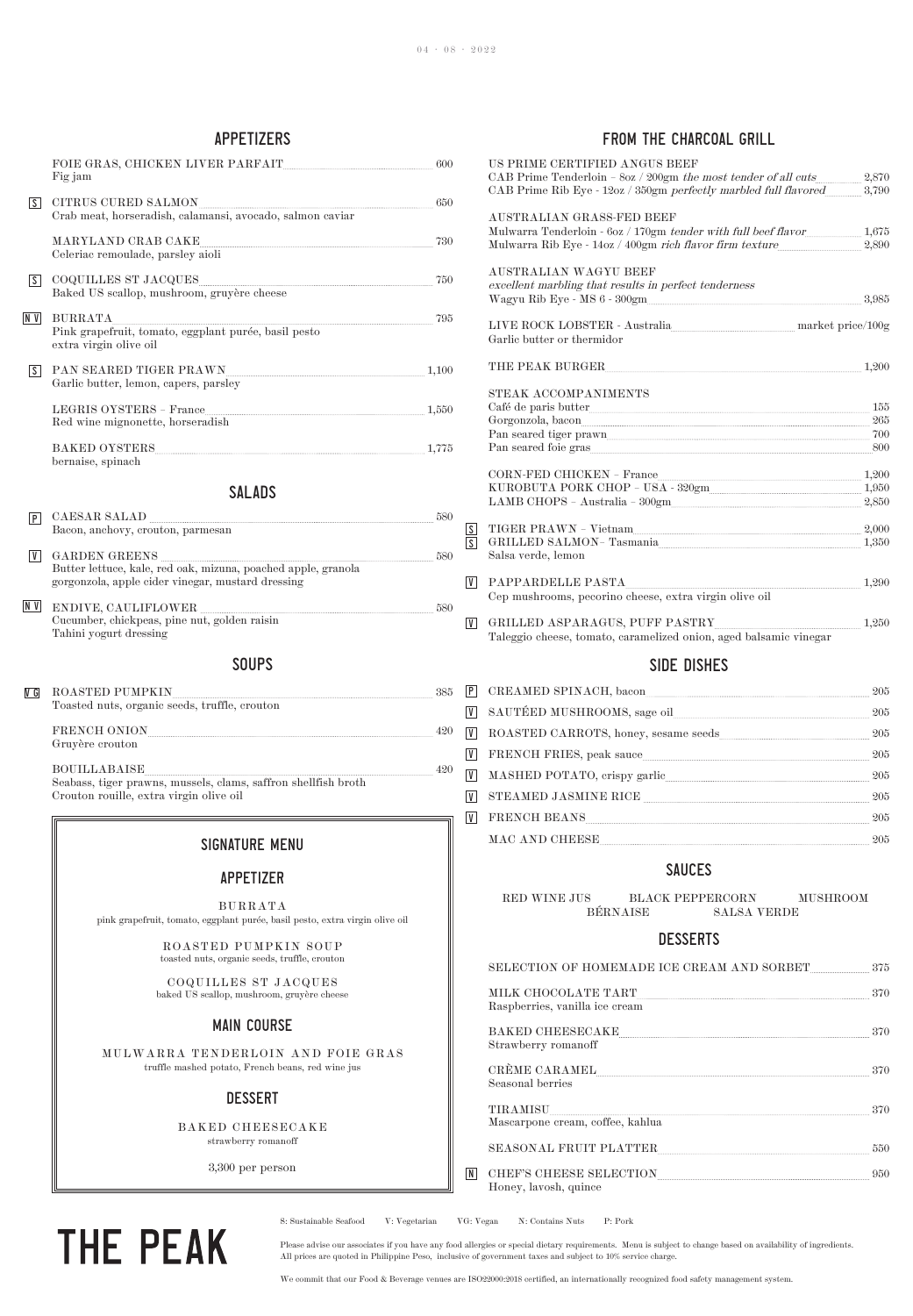## **APPETIZERS**

|                      | 81   LILLIN                                                                                                                                                                                                                                                                                                                                                                                                                                                                                                                                                 |     |                          |                                                                                                                                                    |
|----------------------|-------------------------------------------------------------------------------------------------------------------------------------------------------------------------------------------------------------------------------------------------------------------------------------------------------------------------------------------------------------------------------------------------------------------------------------------------------------------------------------------------------------------------------------------------------------|-----|--------------------------|----------------------------------------------------------------------------------------------------------------------------------------------------|
|                      | FOIE GRAS, CHICKEN LIVER PARFAIT<br>Fig jam                                                                                                                                                                                                                                                                                                                                                                                                                                                                                                                 | 600 |                          | US PRIME CERTIFIED ANGUS BEEF<br>CAB Prime Tenderloin - $8oz / 200gm$ the most                                                                     |
| $\sqrt{s}$           | $\label{eq:thm:main} \textsc{CITRUS CURED} \textsc{SALMON}\xspace_{\textsc{max}}\xspace_{\textsc{max}}\xspace_{\textsc{max}}\xspace_{\textsc{max}}\xspace_{\textsc{max}}\xspace_{\textsc{max}}\xspace_{\textsc{max}}\xspace_{\textsc{max}}\xspace_{\textsc{max}}\xspace_{\textsc{max}}\xspace_{\textsc{max}}\xspace_{\textsc{max}}\xspace_{\textsc{max}}\xspace_{\textsc{max}}\xspace_{\textsc{max}}\xspace_{\textsc{max}}\xspace_{\textsc{max}}\xspace_{\textsc{max}}\xspace_{\textsc{min}}\$<br>Crab meat, horseradish, calamansi, avocado, salmon caviar | 650 |                          | CAB Prime Rib Eye - 12oz / 350gm perfectly m<br>AUSTRALIAN GRASS-FED BEEF                                                                          |
|                      | MARYLAND CRAB CAKE<br>Celeriac remoulade, parsley aioli                                                                                                                                                                                                                                                                                                                                                                                                                                                                                                     | 730 |                          | Mulwarra Tenderloin - 6oz / 170gm tender with<br>Mulwarra Rib Eye - 14oz / 400gm rich flavor fin                                                   |
| S                    |                                                                                                                                                                                                                                                                                                                                                                                                                                                                                                                                                             |     |                          | AUSTRALIAN WAGYU BEEF<br>excellent marbling that results in perfect tende<br>Wagyu Rib Eye - MS 6 - 300gm                                          |
| N V                  | BURRATA<br>$\frac{1}{200}$<br>Pink grapefruit, tomato, eggplant purée, basil pesto<br>extra virgin olive oil                                                                                                                                                                                                                                                                                                                                                                                                                                                |     |                          | LIVE ROCK LOBSTER - Australia<br>Garlie butter or thermidor                                                                                        |
| $\sqrt{s}$           | $\label{eq:parab} \text{PAN SEARED TIGER PRAWN}\xspace_{\text{201}}\xspace_{\text{302}}\xspace_{\text{41}}\xspace_{\text{52}}\xspace_{\text{53}}\xspace_{\text{64}}\xspace_{\text{7}}\xspace_{\text{85}}\xspace_{\text{86}}\xspace_{\text{87}}\xspace_{\text{88}}\xspace_{\text{98}}\xspace_{\text{100}}\xspace_{\text{1100}}$<br>Garlie butter, lemon, capers, parsley                                                                                                                                                                                     |     |                          | THE PEAK BURGER SERVICE OF THE PEAK BURGER                                                                                                         |
|                      | Red wine mignonette, horseradish                                                                                                                                                                                                                                                                                                                                                                                                                                                                                                                            |     |                          | STEAK ACCOMPANIMENTS<br>$\label{eq:1} \textbf{Caf\'e de paris butter_\textit{num}{\textbf{Output}}}.$<br>Gorgonzola, bacon                         |
|                      | $BAKED OYSTERS _{\hspace{-1.5em}1,775}$<br>bernaise, spinach                                                                                                                                                                                                                                                                                                                                                                                                                                                                                                |     |                          | $\label{eq:1} \begin{minipage}{.4\linewidth} \textbf{Pan} \textbf{ seared} \textbf{ tiger} \textbf{ prawn} \end{minipage}$<br>Pan seared foie gras |
|                      | <b>SALADS</b>                                                                                                                                                                                                                                                                                                                                                                                                                                                                                                                                               |     |                          | KUROBUTA PORK CHOP - USA - 320gm<br>LAMB CHOPS - Australia - 300gm                                                                                 |
| $\boxed{\mathsf{P}}$ | $\rm CAESAR\ SALAD \ \ _{580}$<br>Bacon, anchovy, crouton, parmesan                                                                                                                                                                                                                                                                                                                                                                                                                                                                                         |     | $\sqrt{s}$<br>$\sqrt{s}$ | $\begin{minipage}{.4\linewidth} \textbf{TIGER} \textbf{PRAWN - Vietnam} \end{minipage}$<br>GRILLED SALMON- Tasmania                                |
| V                    | Butter lettuce, kale, red oak, mizuna, poached apple, granola<br>gorgonzola, apple cider vinegar, mustard dressing                                                                                                                                                                                                                                                                                                                                                                                                                                          | 580 | $\mathsf{V}$             | Salsa verde, lemon<br>${\bf PAPPARDELLE \; PASTA} \label{eq:ex1}$<br>Cep mushrooms, pecorino cheese, extra virgin                                  |
| $N$ $V$              | $\begin{minipage}{.4\linewidth} \textbf{ENDIVE, CAULIFLOWER} \end{minipage} \begin{minipage}{.4\linewidth} \textbf{580} \\ \textbf{Queue} \\ \textbf{Note:} \end{minipage} \begin{minipage}{.4\linewidth} \textbf{580} \\ \textbf{580} \\ \textbf{581} \\ \textbf{581} \\ \textbf{582} \\ \textbf{583} \\ \textbf{584} \\ \textbf{589} \\ \textbf{580} \\ \textbf{580} \\ \textbf{581} \\ \textbf{581} \\ \textbf{582} \\ \textbf{583} \\ \textbf{584}$<br>Tahini yogurt dressing                                                                           |     | $\sqrt{V}$               | GRILLED ASPARAGUS, PUFF PASTRY                                                                                                                     |
|                      |                                                                                                                                                                                                                                                                                                                                                                                                                                                                                                                                                             |     |                          | Taleggio cheese, tomato, caramelized onion, as                                                                                                     |
|                      | <b>SOUPS</b>                                                                                                                                                                                                                                                                                                                                                                                                                                                                                                                                                |     |                          | SIDE DISHES                                                                                                                                        |
| $V$ G                |                                                                                                                                                                                                                                                                                                                                                                                                                                                                                                                                                             |     | P                        | CREAMED SPINACH, bacon                                                                                                                             |
|                      | $\frac{ROASTED \; PUMPKIN \; \; \; }{Toasted \; nuts, \; organic \; seeds, \; truthfle, \; revolution} \qquad \qquad \; 385$                                                                                                                                                                                                                                                                                                                                                                                                                                |     | $\overline{V}$           | SAUTÉED MUSHROOMS, sage oil                                                                                                                        |
|                      |                                                                                                                                                                                                                                                                                                                                                                                                                                                                                                                                                             |     | $\sqrt{V}$               | ROASTED CARROTS, honey, sesame seeds                                                                                                               |
|                      | Gruyère crouton                                                                                                                                                                                                                                                                                                                                                                                                                                                                                                                                             |     | V                        |                                                                                                                                                    |
|                      |                                                                                                                                                                                                                                                                                                                                                                                                                                                                                                                                                             |     | V                        | MASHED POTATO, crispy garlic                                                                                                                       |
|                      | $\frac{BoulllABAISE\_}{\text{Seabass, tiger prawns, mussels, claims, saffron shellfish broth}} \text{420}$<br>Crouton rouille, extra virgin olive oil                                                                                                                                                                                                                                                                                                                                                                                                       |     | V                        |                                                                                                                                                    |
|                      |                                                                                                                                                                                                                                                                                                                                                                                                                                                                                                                                                             |     | $\sqrt{V}$               | $\label{eq:q1} \textbf{FRENCH BEANS} \begin{tabular}{l} \multicolumn{2}{c}{\textbf{FRENCH BEANS}} \end{tabular}$                                   |
|                      | <b>SIGNATURE MENU</b>                                                                                                                                                                                                                                                                                                                                                                                                                                                                                                                                       |     |                          | $\textbf{MAC AND CHEESE}\footnotesize\color{red}\boldsymbol{1}$                                                                                    |
|                      | <b>APPETIZER</b>                                                                                                                                                                                                                                                                                                                                                                                                                                                                                                                                            |     |                          | <b>SAUCES</b>                                                                                                                                      |
|                      | BURRATA<br>pink grapefruit, tomato, eggplant purée, basil pesto, extra virgin olive oil                                                                                                                                                                                                                                                                                                                                                                                                                                                                     |     |                          | <b>BLACK PEPPERO</b><br>RED WINE JUS<br>$\ensuremath{\mathsf{B}\textbf{ÉRN} \textbf{AISE}}$<br>SA                                                  |
|                      | ROASTED PUMPKIN SOUP<br>toasted nuts, organic seeds, truffle, crouton                                                                                                                                                                                                                                                                                                                                                                                                                                                                                       |     |                          | <b>DESSERTS</b>                                                                                                                                    |
|                      | COQUILLES ST JACQUES<br>baked US scallop, mushroom, gruyère cheese                                                                                                                                                                                                                                                                                                                                                                                                                                                                                          |     |                          | SELECTION OF HOMEMADE ICE CREAM<br>MILK CHOCOLATE TART                                                                                             |
|                      | <b>MAIN COURSE</b>                                                                                                                                                                                                                                                                                                                                                                                                                                                                                                                                          |     |                          | Raspberries, vanilla ice cream<br>$\begin{minipage}{.4\linewidth} \textbf{BAKED} \textbf{CHEESECAKE} \end{minipage}$                               |
|                      | MULWARRA TENDERLOIN AND FOIE GRAS<br>truffle mashed potato, French beans, red wine jus                                                                                                                                                                                                                                                                                                                                                                                                                                                                      |     |                          | Strawberry romanoff<br>CRÈME CARAMEL <b>MANUEL</b><br>Seasonal berries                                                                             |
|                      | <b>DESSERT</b>                                                                                                                                                                                                                                                                                                                                                                                                                                                                                                                                              |     |                          | ${\bf TIRAMISU} \label{equation:1}$                                                                                                                |

3,300 per person

THE PEAK

## FROM THE CHARCOAL GRILL

| US PRIME CERTIFIED ANGUS BEEF<br>CAB Prime Tenderloin - 8oz / 200gm the most tender of all cuts 2,870<br>CAB Prime Rib Eye - 12oz / 350gm perfectly marbled full flavored 3,790                                                                                                                                                                                                                                                                                                                                                                                                                                                     |          |  |  |  |  |  |
|-------------------------------------------------------------------------------------------------------------------------------------------------------------------------------------------------------------------------------------------------------------------------------------------------------------------------------------------------------------------------------------------------------------------------------------------------------------------------------------------------------------------------------------------------------------------------------------------------------------------------------------|----------|--|--|--|--|--|
| AUSTRALIAN GRASS-FED BEEF<br>Mulwarra Tenderloin - 6oz / 170gm tender with full beef flavor 1,675<br>Mulwarra Rib Eye - 14oz / 400gm rich flavor firm texture 2,890                                                                                                                                                                                                                                                                                                                                                                                                                                                                 |          |  |  |  |  |  |
| AUSTRALIAN WAGYU BEEF<br>excellent marbling that results in perfect tenderness                                                                                                                                                                                                                                                                                                                                                                                                                                                                                                                                                      |          |  |  |  |  |  |
|                                                                                                                                                                                                                                                                                                                                                                                                                                                                                                                                                                                                                                     | 3,985    |  |  |  |  |  |
| LIVE ROCK LOBSTER - Australia market price/100g<br>Garlie butter or thermidor                                                                                                                                                                                                                                                                                                                                                                                                                                                                                                                                                       |          |  |  |  |  |  |
| THE PEAK BURGER 1,200                                                                                                                                                                                                                                                                                                                                                                                                                                                                                                                                                                                                               |          |  |  |  |  |  |
| <b>STEAK ACCOMPANIMENTS</b><br>Café de paris butter 155<br>Gorgonzola, bacon 265                                                                                                                                                                                                                                                                                                                                                                                                                                                                                                                                                    |          |  |  |  |  |  |
| Pan seared tiger prawn 700                                                                                                                                                                                                                                                                                                                                                                                                                                                                                                                                                                                                          |          |  |  |  |  |  |
| Pan seared foie gras 800                                                                                                                                                                                                                                                                                                                                                                                                                                                                                                                                                                                                            |          |  |  |  |  |  |
|                                                                                                                                                                                                                                                                                                                                                                                                                                                                                                                                                                                                                                     |          |  |  |  |  |  |
| $\textbf{LAMB} \text{ CHOPS - Australia - } 300 \text{gm} \dots \text{2,850}$                                                                                                                                                                                                                                                                                                                                                                                                                                                                                                                                                       |          |  |  |  |  |  |
| TIGER PRAWN - Vietnam                                                                                                                                                                                                                                                                                                                                                                                                                                                                                                                                                                                                               |          |  |  |  |  |  |
| GRILLED SALMON-Tasmania<br>Salsa verde, lemon                                                                                                                                                                                                                                                                                                                                                                                                                                                                                                                                                                                       |          |  |  |  |  |  |
| PAPPARDELLE PASTA<br>Cep mushrooms, pecorino cheese, extra virgin olive oil                                                                                                                                                                                                                                                                                                                                                                                                                                                                                                                                                         | 1,290    |  |  |  |  |  |
| GRILLED ASPARAGUS, PUFF PASTRY<br>1,250<br>Taleggio cheese, tomato, caramelized onion, aged balsamic vinegar                                                                                                                                                                                                                                                                                                                                                                                                                                                                                                                        |          |  |  |  |  |  |
| <b>SIDE DISHES</b>                                                                                                                                                                                                                                                                                                                                                                                                                                                                                                                                                                                                                  |          |  |  |  |  |  |
| $\rm{CREAMENT}\hspace{0.1cm}SPINACH, bacon$                                                                                                                                                                                                                                                                                                                                                                                                                                                                                                                                                                                         |          |  |  |  |  |  |
| $\rm SAUT\acute{E}ED~MUSH\acute{E}OOMS, \,sage~oil$                                                                                                                                                                                                                                                                                                                                                                                                                                                                                                                                                                                 |          |  |  |  |  |  |
| $\textbf{ROASTED CARROTS, honey, sesame seeds.} \vspace{0.00000cm} \begin{minipage}{0.95\linewidth} \hfill \begin{minipage}{0.95\linewidth} \hfill \textbf{ROASTED CARROTS, honey, sesame seeds.} \end{minipage} \vspace{0.00000cm} \begin{minipage}{0.95\linewidth} \hfill \begin{minipage}{0.95\linewidth} \hfill \begin{minipage}{0.95\linewidth} \hfill \textbf{S:} \end{minipage} \hfill \begin{minipage}{0.95\linewidth} \hfill \begin{minipage}{0.95\linewidth} \hfill \begin{minipage}{0.95\linewidth} \$                                                                                                                   |          |  |  |  |  |  |
|                                                                                                                                                                                                                                                                                                                                                                                                                                                                                                                                                                                                                                     |          |  |  |  |  |  |
| ${\bf MASHED~POTATO,~crispy~garlic} \hspace{1cm} \underline{\hspace{1cm}} {\bf 205}$                                                                                                                                                                                                                                                                                                                                                                                                                                                                                                                                                |          |  |  |  |  |  |
| ${\tt STEAMED~JASMINE~RICE~}.$                                                                                                                                                                                                                                                                                                                                                                                                                                                                                                                                                                                                      |          |  |  |  |  |  |
| $\textrm{FRENCH BEANS} \underline{\hspace{2cm}} \underline{\hspace{2cm}} \underline{\hspace{2cm}} \underline{\hspace{2cm}} \underline{\hspace{2cm}} \underline{\hspace{2cm}} \underline{\hspace{2cm}} \underline{\hspace{2cm}} \underline{\hspace{2cm}} \underline{\hspace{2cm}} \underline{\hspace{2cm}} \underline{\hspace{2cm}} \underline{\hspace{2cm}} \underline{\hspace{2cm}} \underline{\hspace{2cm}} \underline{\hspace{2cm}} \underline{\hspace{2cm}} \underline{\hspace{2cm}} \underline{\hspace{2cm}} \underline{\hspace{2cm}} \underline{\hspace{2cm}} \underline{\hspace{2cm}} \underline{\hspace{2cm}} \underline{\$ |          |  |  |  |  |  |
|                                                                                                                                                                                                                                                                                                                                                                                                                                                                                                                                                                                                                                     |          |  |  |  |  |  |
| <b>SAUCES</b>                                                                                                                                                                                                                                                                                                                                                                                                                                                                                                                                                                                                                       |          |  |  |  |  |  |
| RED WINE JUS<br><b>BLACK PEPPERCORN</b><br><b>BÉRNAISE</b><br><b>SALSA VERDE</b>                                                                                                                                                                                                                                                                                                                                                                                                                                                                                                                                                    | MUSHROOM |  |  |  |  |  |

## **DESSERTS**

| SELECTION OF HOMEMADE ICE CREAM AND SORBET 375                                                                                                                                                                                                                                                                                                                                                                                                                                     |     |
|------------------------------------------------------------------------------------------------------------------------------------------------------------------------------------------------------------------------------------------------------------------------------------------------------------------------------------------------------------------------------------------------------------------------------------------------------------------------------------|-----|
| $\textbf{MILK CHOCOLATE TART}\footnotesize\color{red}{\bold{_{\textbf{1}}\textbf{_{\textbf{2}}\textbf{_{\textbf{1}}\textbf{_{\textbf{2}}\textbf{_{\textbf{2}}\textbf{_{\textbf{2}}\textbf{_{\textbf{2}}\textbf{_{\textbf{2}}\textbf{_{\textbf{2}}\textbf{_{\textbf{2}}\textbf{_{\textbf{2}}\textbf{_{\textbf{2}}\textbf{_{\textbf{2}}\textbf{_{\textbf{2}}\textbf{_{\textbf{2}}\textbf{_{\textbf{2}}\textbf{_{\textbf{2}}\textbf{_{\textbf{2}}\$<br>Raspberries, vanilla ice cream | 370 |
| ${\bf BAKED~CHEESECAKE} \label{eq:BAKED}$<br>Strawberry romanoff                                                                                                                                                                                                                                                                                                                                                                                                                   | 370 |
| $\begin{minipage}{.4\linewidth} \textbf{CRÈME} \textbf{CARAMEL}\end{minipage}$<br>Seasonal berries                                                                                                                                                                                                                                                                                                                                                                                 | 370 |
| $\label{eq:transmission} \texttt{TIRAMISU} \textcolor{red}{\underbrace{\hspace{15cm}}\hspace{15cm} \textbf{mAMSU}}$<br>Mascarpone cream, coffee, kahlua                                                                                                                                                                                                                                                                                                                            | 370 |
| SEASONAL FRUIT PLATTER                                                                                                                                                                                                                                                                                                                                                                                                                                                             | 550 |
| ${\rm CHEF'S} \hspace{2pt} {\rm CHEESE} \hspace{2pt} {\rm SELECTION} \hspace{2pt} \ldots \hspace{2pt} \ldots \hspace{2pt} \ldots \hspace{2pt} \ldots \hspace{2pt} \ldots \hspace{2pt} \ldots \hspace{2pt} \ldots \hspace{2pt} \ldots \hspace{2pt} \ldots \hspace{2pt} \ldots \hspace{2pt} \ldots \hspace{2pt} \ldots \hspace{2pt} \ldots \hspace{2pt} \ldots \hspace{2pt} \ldots \hspace{2pt} \ldots \hspace{2pt} \ldots \hspace{2pt} \ldots \hspace{2$<br>Honey, lavosh, quince   | 950 |

S: Sustainable Seafood V: Vegetarian VG: Vegan N: Contains Nuts P: Pork

N

Please advise our associates if you have any food allergies or special dietary requirements. Menu is subject to change based on availability of ingredients. All prices are quoted in Philippine Peso, inclusive of government taxes and subject to 10% service charge.

We commit that our Food & Beverage venues are ISO22000:2018 certified, an internationally recognized food safety management system.